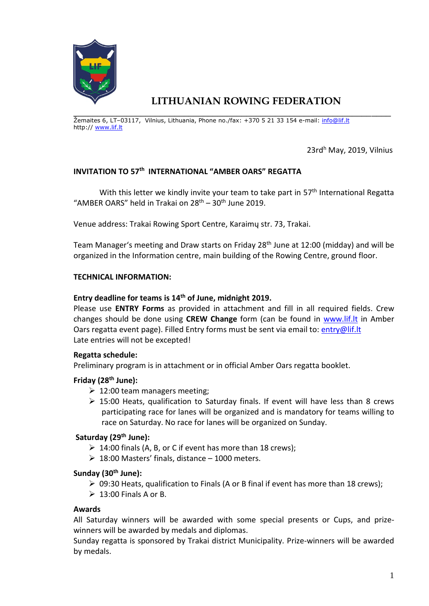

# **LITHUANIAN ROWING FEDERATION**

\_\_\_\_\_\_\_\_\_\_\_\_\_\_\_\_\_\_\_\_\_\_\_\_\_\_\_\_\_\_\_\_\_\_\_\_\_\_\_\_\_\_\_\_\_\_\_\_\_\_\_\_\_\_\_\_\_\_\_\_\_\_\_\_\_\_ Žemaites 6, LT–03117, Vilnius, Lithuania, Phone no./fax: +370 5 21 33 154 e-mail: [info@lif.lt](mailto:info@lif.lt) http:// [www.lif.lt](http://www.lif.lt/)

23rd<sup>h</sup> May, 2019, Vilnius

# **INVITATION TO 57th INTERNATIONAL "AMBER OARS" REGATTA**

With this letter we kindly invite your team to take part in 57<sup>th</sup> International Regatta "AMBER OARS" held in Trakai on  $28<sup>th</sup> - 30<sup>th</sup>$  June 2019.

Venue address: Trakai Rowing Sport Centre, Karaimų str. 73, Trakai.

Team Manager's meeting and Draw starts on Friday 28<sup>th</sup> June at 12:00 (midday) and will be organized in the Information centre, main building of the Rowing Centre, ground floor.

## **TECHNICAL INFORMATION:**

# **Entry deadline for teams is 14 th of June, midnight 2019.**

Please use **ENTRY Forms** as provided in attachment and fill in all required fields. Crew changes should be done using **CREW Change** form (can be found in [www.lif.lt](http://www.lif.lt/) in Amber Oars regatta event page). Filled Entry forms must be sent via email to: [entry@lif.lt](mailto:entry@lif.lt) Late entries will not be excepted!

## **Regatta schedule:**

Preliminary program is in attachment or in official Amber Oars regatta booklet.

## **Friday (28 th June):**

- $\geq 12:00$  team managers meeting;
- $\geq$  15:00 Heats, qualification to Saturday finals. If event will have less than 8 crews participating race for lanes will be organized and is mandatory for teams willing to race on Saturday. No race for lanes will be organized on Sunday.

# **Saturday (29th June):**

- $\geq 14:00$  finals (A, B, or C if event has more than 18 crews):
- $\geq 18:00$  Masters' finals, distance 1000 meters.

## **Sunday (30th June):**

- ➢ 09:30 Heats, qualification to Finals (A or B final if event has more than 18 crews);
- $\geq 13:00$  Finals A or B.

## **Awards**

All Saturday winners will be awarded with some special presents or Cups, and prizewinners will be awarded by medals and diplomas.

Sunday regatta is sponsored by Trakai district Municipality. Prize-winners will be awarded by medals.